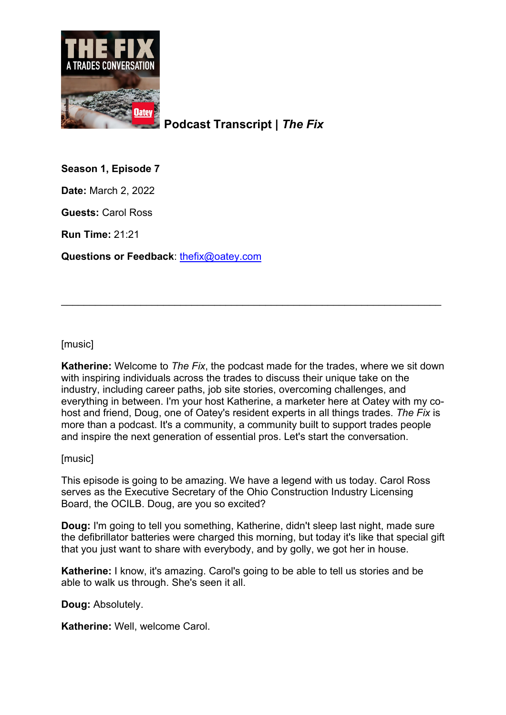

**Podcast Transcript |** *The Fix*

**Season 1, Episode 7**

**Date:** March 2, 2022

**Guests:** Carol Ross

**Run Time:** 21:21

**Questions or Feedback**: [thefix@oatey.com](mailto:thefix@oatey.com)

[music]

**Katherine:** Welcome to *The Fix*, the podcast made for the trades, where we sit down with inspiring individuals across the trades to discuss their unique take on the industry, including career paths, job site stories, overcoming challenges, and everything in between. I'm your host Katherine, a marketer here at Oatey with my cohost and friend, Doug, one of Oatey's resident experts in all things trades. *The Fix* is more than a podcast. It's a community, a community built to support trades people and inspire the next generation of essential pros. Let's start the conversation.

\_\_\_\_\_\_\_\_\_\_\_\_\_\_\_\_\_\_\_\_\_\_\_\_\_\_\_\_\_\_\_\_\_\_\_\_\_\_\_\_\_\_\_\_\_\_\_\_\_\_\_\_\_\_\_\_\_\_\_\_\_\_\_\_\_\_\_

[music]

This episode is going to be amazing. We have a legend with us today. Carol Ross serves as the Executive Secretary of the Ohio Construction Industry Licensing Board, the OCILB. Doug, are you so excited?

**Doug:** I'm going to tell you something, Katherine, didn't sleep last night, made sure the defibrillator batteries were charged this morning, but today it's like that special gift that you just want to share with everybody, and by golly, we got her in house.

**Katherine:** I know, it's amazing. Carol's going to be able to tell us stories and be able to walk us through. She's seen it all.

**Doug:** Absolutely.

**Katherine:** Well, welcome Carol.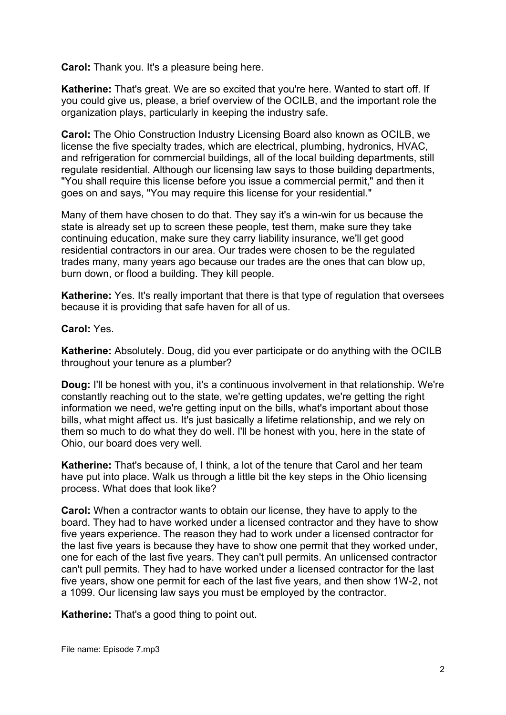**Carol:** Thank you. It's a pleasure being here.

**Katherine:** That's great. We are so excited that you're here. Wanted to start off. If you could give us, please, a brief overview of the OCILB, and the important role the organization plays, particularly in keeping the industry safe.

**Carol:** The Ohio Construction Industry Licensing Board also known as OCILB, we license the five specialty trades, which are electrical, plumbing, hydronics, HVAC, and refrigeration for commercial buildings, all of the local building departments, still regulate residential. Although our licensing law says to those building departments, "You shall require this license before you issue a commercial permit," and then it goes on and says, "You may require this license for your residential."

Many of them have chosen to do that. They say it's a win-win for us because the state is already set up to screen these people, test them, make sure they take continuing education, make sure they carry liability insurance, we'll get good residential contractors in our area. Our trades were chosen to be the regulated trades many, many years ago because our trades are the ones that can blow up, burn down, or flood a building. They kill people.

**Katherine:** Yes. It's really important that there is that type of regulation that oversees because it is providing that safe haven for all of us.

**Carol:** Yes.

**Katherine:** Absolutely. Doug, did you ever participate or do anything with the OCILB throughout your tenure as a plumber?

**Doug:** I'll be honest with you, it's a continuous involvement in that relationship. We're constantly reaching out to the state, we're getting updates, we're getting the right information we need, we're getting input on the bills, what's important about those bills, what might affect us. It's just basically a lifetime relationship, and we rely on them so much to do what they do well. I'll be honest with you, here in the state of Ohio, our board does very well.

**Katherine:** That's because of, I think, a lot of the tenure that Carol and her team have put into place. Walk us through a little bit the key steps in the Ohio licensing process. What does that look like?

**Carol:** When a contractor wants to obtain our license, they have to apply to the board. They had to have worked under a licensed contractor and they have to show five years experience. The reason they had to work under a licensed contractor for the last five years is because they have to show one permit that they worked under, one for each of the last five years. They can't pull permits. An unlicensed contractor can't pull permits. They had to have worked under a licensed contractor for the last five years, show one permit for each of the last five years, and then show 1W-2, not a 1099. Our licensing law says you must be employed by the contractor.

**Katherine:** That's a good thing to point out.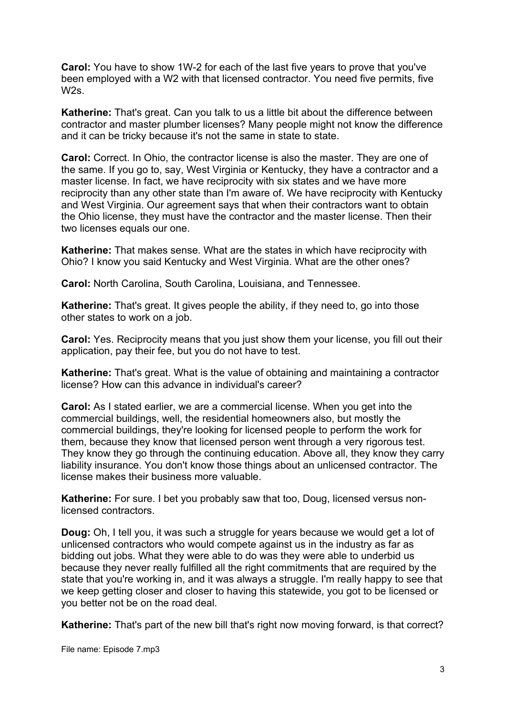**Carol:** You have to show 1W-2 for each of the last five years to prove that you've been employed with a W2 with that licensed contractor. You need five permits, five  $W2s$ 

**Katherine:** That's great. Can you talk to us a little bit about the difference between contractor and master plumber licenses? Many people might not know the difference and it can be tricky because it's not the same in state to state.

**Carol:** Correct. In Ohio, the contractor license is also the master. They are one of the same. If you go to, say, West Virginia or Kentucky, they have a contractor and a master license. In fact, we have reciprocity with six states and we have more reciprocity than any other state than I'm aware of. We have reciprocity with Kentucky and West Virginia. Our agreement says that when their contractors want to obtain the Ohio license, they must have the contractor and the master license. Then their two licenses equals our one.

**Katherine:** That makes sense. What are the states in which have reciprocity with Ohio? I know you said Kentucky and West Virginia. What are the other ones?

**Carol:** North Carolina, South Carolina, Louisiana, and Tennessee.

**Katherine:** That's great. It gives people the ability, if they need to, go into those other states to work on a job.

**Carol:** Yes. Reciprocity means that you just show them your license, you fill out their application, pay their fee, but you do not have to test.

**Katherine:** That's great. What is the value of obtaining and maintaining a contractor license? How can this advance in individual's career?

**Carol:** As I stated earlier, we are a commercial license. When you get into the commercial buildings, well, the residential homeowners also, but mostly the commercial buildings, they're looking for licensed people to perform the work for them, because they know that licensed person went through a very rigorous test. They know they go through the continuing education. Above all, they know they carry liability insurance. You don't know those things about an unlicensed contractor. The license makes their business more valuable.

**Katherine:** For sure. I bet you probably saw that too, Doug, licensed versus nonlicensed contractors.

**Doug:** Oh, I tell you, it was such a struggle for years because we would get a lot of unlicensed contractors who would compete against us in the industry as far as bidding out jobs. What they were able to do was they were able to underbid us because they never really fulfilled all the right commitments that are required by the state that you're working in, and it was always a struggle. I'm really happy to see that we keep getting closer and closer to having this statewide, you got to be licensed or you better not be on the road deal.

**Katherine:** That's part of the new bill that's right now moving forward, is that correct?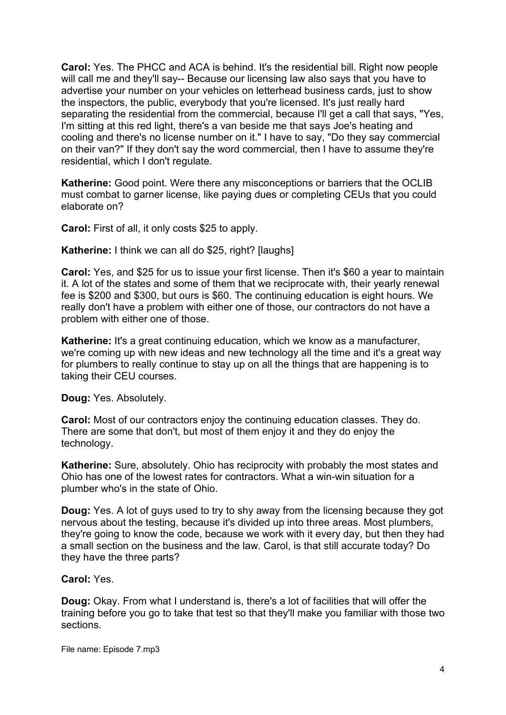**Carol:** Yes. The PHCC and ACA is behind. It's the residential bill. Right now people will call me and they'll say-- Because our licensing law also says that you have to advertise your number on your vehicles on letterhead business cards, just to show the inspectors, the public, everybody that you're licensed. It's just really hard separating the residential from the commercial, because I'll get a call that says, "Yes, I'm sitting at this red light, there's a van beside me that says Joe's heating and cooling and there's no license number on it." I have to say, "Do they say commercial on their van?" If they don't say the word commercial, then I have to assume they're residential, which I don't regulate.

**Katherine:** Good point. Were there any misconceptions or barriers that the OCLIB must combat to garner license, like paying dues or completing CEUs that you could elaborate on?

**Carol:** First of all, it only costs \$25 to apply.

**Katherine:** I think we can all do \$25, right? I laughs 1

**Carol:** Yes, and \$25 for us to issue your first license. Then it's \$60 a year to maintain it. A lot of the states and some of them that we reciprocate with, their yearly renewal fee is \$200 and \$300, but ours is \$60. The continuing education is eight hours. We really don't have a problem with either one of those, our contractors do not have a problem with either one of those.

**Katherine:** It's a great continuing education, which we know as a manufacturer, we're coming up with new ideas and new technology all the time and it's a great way for plumbers to really continue to stay up on all the things that are happening is to taking their CEU courses.

**Doug:** Yes. Absolutely.

**Carol:** Most of our contractors enjoy the continuing education classes. They do. There are some that don't, but most of them enjoy it and they do enjoy the technology.

**Katherine:** Sure, absolutely. Ohio has reciprocity with probably the most states and Ohio has one of the lowest rates for contractors. What a win-win situation for a plumber who's in the state of Ohio.

**Doug:** Yes. A lot of guys used to try to shy away from the licensing because they got nervous about the testing, because it's divided up into three areas. Most plumbers, they're going to know the code, because we work with it every day, but then they had a small section on the business and the law. Carol, is that still accurate today? Do they have the three parts?

## **Carol:** Yes.

**Doug:** Okay. From what I understand is, there's a lot of facilities that will offer the training before you go to take that test so that they'll make you familiar with those two sections.

File name: Episode 7.mp3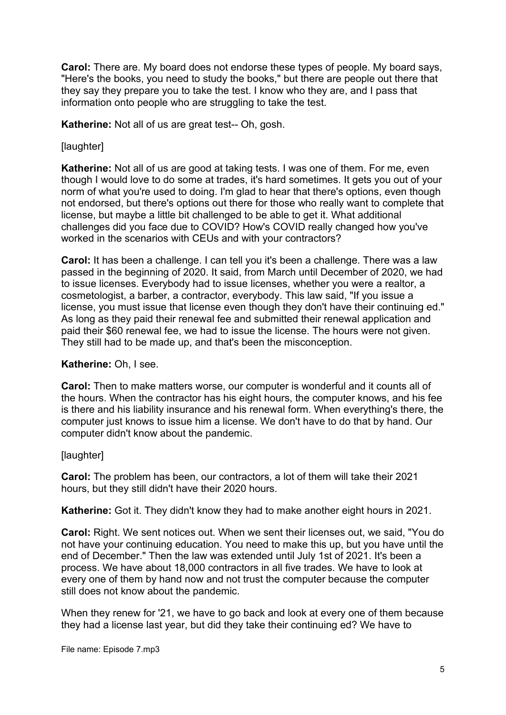**Carol:** There are. My board does not endorse these types of people. My board says, "Here's the books, you need to study the books," but there are people out there that they say they prepare you to take the test. I know who they are, and I pass that information onto people who are struggling to take the test.

**Katherine:** Not all of us are great test-- Oh, gosh.

## [laughter]

**Katherine:** Not all of us are good at taking tests. I was one of them. For me, even though I would love to do some at trades, it's hard sometimes. It gets you out of your norm of what you're used to doing. I'm glad to hear that there's options, even though not endorsed, but there's options out there for those who really want to complete that license, but maybe a little bit challenged to be able to get it. What additional challenges did you face due to COVID? How's COVID really changed how you've worked in the scenarios with CEUs and with your contractors?

**Carol:** It has been a challenge. I can tell you it's been a challenge. There was a law passed in the beginning of 2020. It said, from March until December of 2020, we had to issue licenses. Everybody had to issue licenses, whether you were a realtor, a cosmetologist, a barber, a contractor, everybody. This law said, "If you issue a license, you must issue that license even though they don't have their continuing ed." As long as they paid their renewal fee and submitted their renewal application and paid their \$60 renewal fee, we had to issue the license. The hours were not given. They still had to be made up, and that's been the misconception.

## **Katherine:** Oh, I see.

**Carol:** Then to make matters worse, our computer is wonderful and it counts all of the hours. When the contractor has his eight hours, the computer knows, and his fee is there and his liability insurance and his renewal form. When everything's there, the computer just knows to issue him a license. We don't have to do that by hand. Our computer didn't know about the pandemic.

## [laughter]

**Carol:** The problem has been, our contractors, a lot of them will take their 2021 hours, but they still didn't have their 2020 hours.

**Katherine:** Got it. They didn't know they had to make another eight hours in 2021.

**Carol:** Right. We sent notices out. When we sent their licenses out, we said, "You do not have your continuing education. You need to make this up, but you have until the end of December." Then the law was extended until July 1st of 2021. It's been a process. We have about 18,000 contractors in all five trades. We have to look at every one of them by hand now and not trust the computer because the computer still does not know about the pandemic.

When they renew for '21, we have to go back and look at every one of them because they had a license last year, but did they take their continuing ed? We have to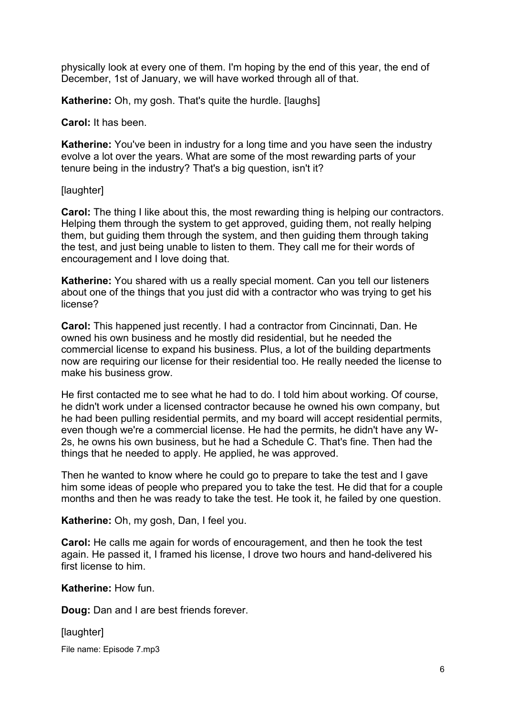physically look at every one of them. I'm hoping by the end of this year, the end of December, 1st of January, we will have worked through all of that.

**Katherine:** Oh, my gosh. That's quite the hurdle. [laughs]

**Carol:** It has been.

**Katherine:** You've been in industry for a long time and you have seen the industry evolve a lot over the years. What are some of the most rewarding parts of your tenure being in the industry? That's a big question, isn't it?

[laughter]

**Carol:** The thing I like about this, the most rewarding thing is helping our contractors. Helping them through the system to get approved, guiding them, not really helping them, but guiding them through the system, and then guiding them through taking the test, and just being unable to listen to them. They call me for their words of encouragement and I love doing that.

**Katherine:** You shared with us a really special moment. Can you tell our listeners about one of the things that you just did with a contractor who was trying to get his license?

**Carol:** This happened just recently. I had a contractor from Cincinnati, Dan. He owned his own business and he mostly did residential, but he needed the commercial license to expand his business. Plus, a lot of the building departments now are requiring our license for their residential too. He really needed the license to make his business grow.

He first contacted me to see what he had to do. I told him about working. Of course, he didn't work under a licensed contractor because he owned his own company, but he had been pulling residential permits, and my board will accept residential permits, even though we're a commercial license. He had the permits, he didn't have any W-2s, he owns his own business, but he had a Schedule C. That's fine. Then had the things that he needed to apply. He applied, he was approved.

Then he wanted to know where he could go to prepare to take the test and I gave him some ideas of people who prepared you to take the test. He did that for a couple months and then he was ready to take the test. He took it, he failed by one question.

**Katherine:** Oh, my gosh, Dan, I feel you.

**Carol:** He calls me again for words of encouragement, and then he took the test again. He passed it, I framed his license, I drove two hours and hand-delivered his first license to him.

**Katherine:** How fun.

**Doug:** Dan and I are best friends forever.

[laughter]

File name: Episode 7.mp3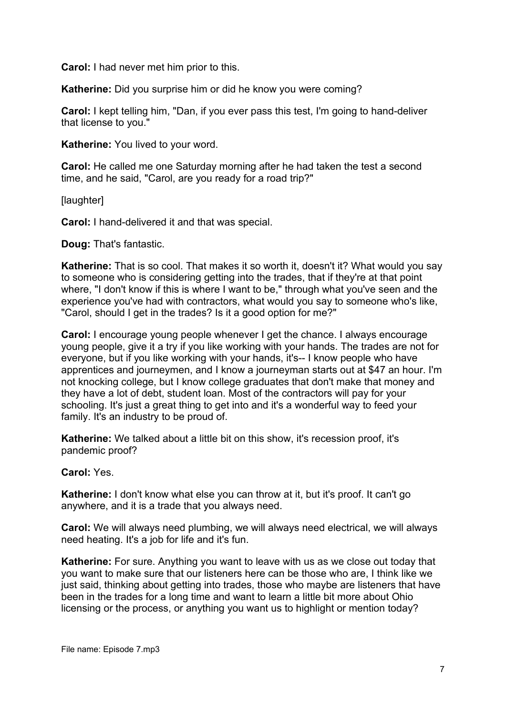**Carol:** I had never met him prior to this.

**Katherine:** Did you surprise him or did he know you were coming?

**Carol:** I kept telling him, "Dan, if you ever pass this test, I'm going to hand-deliver that license to you."

**Katherine:** You lived to your word.

**Carol:** He called me one Saturday morning after he had taken the test a second time, and he said, "Carol, are you ready for a road trip?"

[laughter]

**Carol:** I hand-delivered it and that was special.

**Doug:** That's fantastic.

**Katherine:** That is so cool. That makes it so worth it, doesn't it? What would you say to someone who is considering getting into the trades, that if they're at that point where, "I don't know if this is where I want to be," through what you've seen and the experience you've had with contractors, what would you say to someone who's like, "Carol, should I get in the trades? Is it a good option for me?"

**Carol:** I encourage young people whenever I get the chance. I always encourage young people, give it a try if you like working with your hands. The trades are not for everyone, but if you like working with your hands, it's-- I know people who have apprentices and journeymen, and I know a journeyman starts out at \$47 an hour. I'm not knocking college, but I know college graduates that don't make that money and they have a lot of debt, student loan. Most of the contractors will pay for your schooling. It's just a great thing to get into and it's a wonderful way to feed your family. It's an industry to be proud of.

**Katherine:** We talked about a little bit on this show, it's recession proof, it's pandemic proof?

**Carol:** Yes.

**Katherine:** I don't know what else you can throw at it, but it's proof. It can't go anywhere, and it is a trade that you always need.

**Carol:** We will always need plumbing, we will always need electrical, we will always need heating. It's a job for life and it's fun.

**Katherine:** For sure. Anything you want to leave with us as we close out today that you want to make sure that our listeners here can be those who are, I think like we just said, thinking about getting into trades, those who maybe are listeners that have been in the trades for a long time and want to learn a little bit more about Ohio licensing or the process, or anything you want us to highlight or mention today?